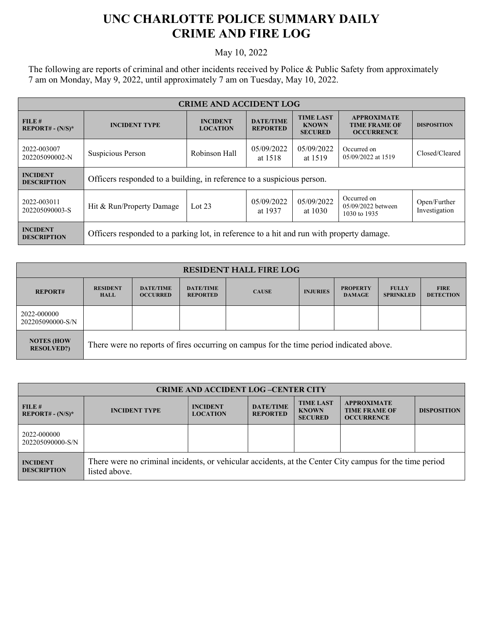## **UNC CHARLOTTE POLICE SUMMARY DAILY CRIME AND FIRE LOG**

May 10, 2022

The following are reports of criminal and other incidents received by Police & Public Safety from approximately 7 am on Monday, May 9, 2022, until approximately 7 am on Tuesday, May 10, 2022.

| <b>CRIME AND ACCIDENT LOG</b>         |                                                                                          |                                    |                                     |                                                    |                                                                 |                               |  |
|---------------------------------------|------------------------------------------------------------------------------------------|------------------------------------|-------------------------------------|----------------------------------------------------|-----------------------------------------------------------------|-------------------------------|--|
| FILE#<br>$REPORT# - (N/S)*$           | <b>INCIDENT TYPE</b>                                                                     | <b>INCIDENT</b><br><b>LOCATION</b> | <b>DATE/TIME</b><br><b>REPORTED</b> | <b>TIME LAST</b><br><b>KNOWN</b><br><b>SECURED</b> | <b>APPROXIMATE</b><br><b>TIME FRAME OF</b><br><b>OCCURRENCE</b> | <b>DISPOSITION</b>            |  |
| 2022-003007<br>202205090002-N         | Suspicious Person                                                                        | Robinson Hall                      | 05/09/2022<br>at 1518               | 05/09/2022<br>at 1519                              | Occurred on<br>05/09/2022 at 1519                               | Closed/Cleared                |  |
| <b>INCIDENT</b><br><b>DESCRIPTION</b> | Officers responded to a building, in reference to a suspicious person.                   |                                    |                                     |                                                    |                                                                 |                               |  |
| 2022-003011<br>202205090003-S         | Hit & Run/Property Damage                                                                | Lot $23$                           | 05/09/2022<br>at 1937               | 05/09/2022<br>at $1030$                            | Occurred on<br>05/09/2022 between<br>1030 to 1935               | Open/Further<br>Investigation |  |
| <b>INCIDENT</b><br><b>DESCRIPTION</b> | Officers responded to a parking lot, in reference to a hit and run with property damage. |                                    |                                     |                                                    |                                                                 |                               |  |

| <b>RESIDENT HALL FIRE LOG</b>           |                                                                                         |                                     |                                     |              |                 |                                  |                                  |                                 |
|-----------------------------------------|-----------------------------------------------------------------------------------------|-------------------------------------|-------------------------------------|--------------|-----------------|----------------------------------|----------------------------------|---------------------------------|
| <b>REPORT#</b>                          | <b>RESIDENT</b><br><b>HALL</b>                                                          | <b>DATE/TIME</b><br><b>OCCURRED</b> | <b>DATE/TIME</b><br><b>REPORTED</b> | <b>CAUSE</b> | <b>INJURIES</b> | <b>PROPERTY</b><br><b>DAMAGE</b> | <b>FULLY</b><br><b>SPRINKLED</b> | <b>FIRE</b><br><b>DETECTION</b> |
| 2022-000000<br>202205090000-S/N         |                                                                                         |                                     |                                     |              |                 |                                  |                                  |                                 |
| <b>NOTES (HOW)</b><br><b>RESOLVED?)</b> | There were no reports of fires occurring on campus for the time period indicated above. |                                     |                                     |              |                 |                                  |                                  |                                 |

| <b>CRIME AND ACCIDENT LOG-CENTER CITY</b> |                                                                                                                          |                                    |                                     |                                                    |                                                                 |                    |  |
|-------------------------------------------|--------------------------------------------------------------------------------------------------------------------------|------------------------------------|-------------------------------------|----------------------------------------------------|-----------------------------------------------------------------|--------------------|--|
| FILE #<br>$REPORT# - (N/S)*$              | <b>INCIDENT TYPE</b>                                                                                                     | <b>INCIDENT</b><br><b>LOCATION</b> | <b>DATE/TIME</b><br><b>REPORTED</b> | <b>TIME LAST</b><br><b>KNOWN</b><br><b>SECURED</b> | <b>APPROXIMATE</b><br><b>TIME FRAME OF</b><br><b>OCCURRENCE</b> | <b>DISPOSITION</b> |  |
| 2022-000000<br>202205090000-S/N           |                                                                                                                          |                                    |                                     |                                                    |                                                                 |                    |  |
| <b>INCIDENT</b><br><b>DESCRIPTION</b>     | There were no criminal incidents, or vehicular accidents, at the Center City campus for the time period<br>listed above. |                                    |                                     |                                                    |                                                                 |                    |  |